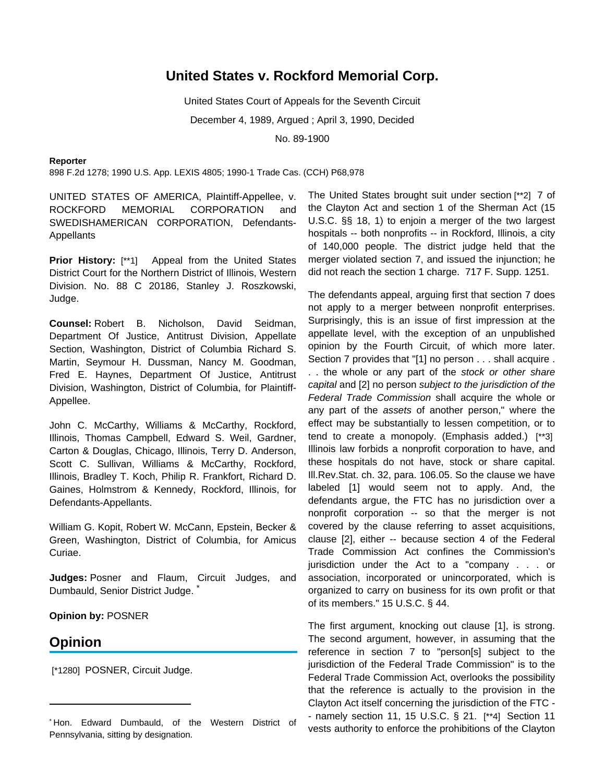## **United States v. Rockford Memorial Corp.**

United States Court of Appeals for the Seventh Circuit December 4, 1989, Argued ; April 3, 1990, Decided No. 89-1900

## **Reporter**

898 F.2d 1278; 1990 U.S. App. LEXIS 4805; 1990-1 Trade Cas. (CCH) P68,978

UNITED STATES OF AMERICA, Plaintiff-Appellee, v. ROCKFORD MEMORIAL CORPORATION and SWEDISHAMERICAN CORPORATION, Defendants-**Appellants** 

**Prior History:** [\*\*1] Appeal from the United States District Court for the Northern District of Illinois, Western Division. No. 88 C 20186, Stanley J. Roszkowski, Judge.

**Counsel:** Robert B. Nicholson, David Seidman, Department Of Justice, Antitrust Division, Appellate Section, Washington, District of Columbia Richard S. Martin, Seymour H. Dussman, Nancy M. Goodman, Fred E. Haynes, Department Of Justice, Antitrust Division, Washington, District of Columbia, for Plaintiff-Appellee.

John C. McCarthy, Williams & McCarthy, Rockford, Illinois, Thomas Campbell, Edward S. Weil, Gardner, Carton & Douglas, Chicago, Illinois, Terry D. Anderson, Scott C. Sullivan, Williams & McCarthy, Rockford, Illinois, Bradley T. Koch, Philip R. Frankfort, Richard D. Gaines, Holmstrom & Kennedy, Rockford, Illinois, for Defendants-Appellants.

William G. Kopit, Robert W. McCann, Epstein, Becker & Green, Washington, District of Columbia, for Amicus Curiae.

**Judges:** Posner and Flaum, Circuit Judges, and Dumbauld, Senior District Judge.

**Opinion by:** POSNER

## **Opinion**

[\*1280] POSNER, Circuit Judge.

The United States brought suit under section [\*\*2] 7 of the Clayton Act and section 1 of the Sherman Act (15 U.S.C. §§ 18, 1) to enjoin a merger of the two largest hospitals -- both nonprofits -- in Rockford, Illinois, a city of 140,000 people. The district judge held that the merger violated section 7, and issued the injunction; he did not reach the section 1 charge. 717 F. Supp. 1251.

The defendants appeal, arguing first that section 7 does not apply to a merger between nonprofit enterprises. Surprisingly, this is an issue of first impression at the appellate level, with the exception of an unpublished opinion by the Fourth Circuit, of which more later. Section 7 provides that "[1] no person . . . shall acquire . . . the whole or any part of the stock or other share capital and [2] no person subject to the jurisdiction of the Federal Trade Commission shall acquire the whole or any part of the assets of another person," where the effect may be substantially to lessen competition, or to tend to create a monopoly. (Emphasis added.) [\*\*3] Illinois law forbids a nonprofit corporation to have, and these hospitals do not have, stock or share capital. Ill.Rev.Stat. ch. 32, para. 106.05. So the clause we have labeled [1] would seem not to apply. And, the defendants argue, the FTC has no jurisdiction over a nonprofit corporation -- so that the merger is not covered by the clause referring to asset acquisitions, clause [2], either -- because section 4 of the Federal Trade Commission Act confines the Commission's jurisdiction under the Act to a "company . . . or association, incorporated or unincorporated, which is organized to carry on business for its own profit or that of its members." 15 U.S.C. § 44.

The first argument, knocking out clause [1], is strong. The second argument, however, in assuming that the reference in section 7 to "person[s] subject to the jurisdiction of the Federal Trade Commission" is to the Federal Trade Commission Act, overlooks the possibility that the reference is actually to the provision in the Clayton Act itself concerning the jurisdiction of the FTC - - namely section 11, 15 U.S.C. § 21. [\*\*4] Section 11 vests authority to enforce the prohibitions of the Clayton

<sup>\*</sup> Hon. Edward Dumbauld, of the Western District of Pennsylvania, sitting by designation.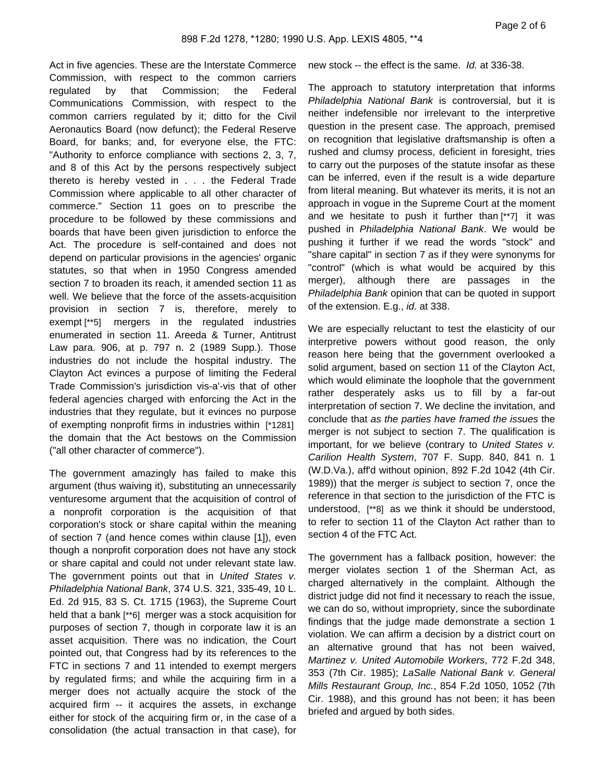Act in five agencies. These are the Interstate Commerce Commission, with respect to the common carriers regulated by that Commission; the Federal Communications Commission, with respect to the common carriers regulated by it; ditto for the Civil Aeronautics Board (now defunct); the Federal Reserve Board, for banks; and, for everyone else, the FTC: "Authority to enforce compliance with sections 2, 3, 7, and 8 of this Act by the persons respectively subject thereto is hereby vested in . . . the Federal Trade Commission where applicable to all other character of commerce." Section 11 goes on to prescribe the procedure to be followed by these commissions and boards that have been given jurisdiction to enforce the Act. The procedure is self-contained and does not depend on particular provisions in the agencies' organic statutes, so that when in 1950 Congress amended section 7 to broaden its reach, it amended section 11 as well. We believe that the force of the assets-acquisition provision in section 7 is, therefore, merely to exempt [\*\*5] mergers in the regulated industries enumerated in section 11. Areeda & Turner, Antitrust Law para. 906, at p. 797 n. 2 (1989 Supp.). Those industries do not include the hospital industry. The Clayton Act evinces a purpose of limiting the Federal Trade Commission's jurisdiction vis-a'-vis that of other federal agencies charged with enforcing the Act in the industries that they regulate, but it evinces no purpose of exempting nonprofit firms in industries within [\*1281] the domain that the Act bestows on the Commission ("all other character of commerce").

The government amazingly has failed to make this argument (thus waiving it), substituting an unnecessarily venturesome argument that the acquisition of control of a nonprofit corporation is the acquisition of that corporation's stock or share capital within the meaning of section 7 (and hence comes within clause [1]), even though a nonprofit corporation does not have any stock or share capital and could not under relevant state law. The government points out that in United States v. Philadelphia National Bank, 374 U.S. 321, 335-49, 10 L. Ed. 2d 915, 83 S. Ct. 1715 (1963), the Supreme Court held that a bank [\*\*6] merger was a stock acquisition for purposes of section 7, though in corporate law it is an asset acquisition. There was no indication, the Court pointed out, that Congress had by its references to the FTC in sections 7 and 11 intended to exempt mergers by regulated firms; and while the acquiring firm in a merger does not actually acquire the stock of the acquired firm -- it acquires the assets, in exchange either for stock of the acquiring firm or, in the case of a consolidation (the actual transaction in that case), for

new stock -- the effect is the same. Id. at 336-38.

The approach to statutory interpretation that informs Philadelphia National Bank is controversial, but it is neither indefensible nor irrelevant to the interpretive question in the present case. The approach, premised on recognition that legislative draftsmanship is often a rushed and clumsy process, deficient in foresight, tries to carry out the purposes of the statute insofar as these can be inferred, even if the result is a wide departure from literal meaning. But whatever its merits, it is not an approach in vogue in the Supreme Court at the moment and we hesitate to push it further than [\*\*7] it was pushed in Philadelphia National Bank. We would be pushing it further if we read the words "stock" and "share capital" in section 7 as if they were synonyms for "control" (which is what would be acquired by this merger), although there are passages in the Philadelphia Bank opinion that can be quoted in support of the extension. E.g., *id.* at 338.

We are especially reluctant to test the elasticity of our interpretive powers without good reason, the only reason here being that the government overlooked a solid argument, based on section 11 of the Clayton Act, which would eliminate the loophole that the government rather desperately asks us to fill by a far-out interpretation of section 7. We decline the invitation, and conclude that as the parties have framed the issues the merger is not subject to section 7. The qualification is important, for we believe (contrary to United States v. Carilion Health System, 707 F. Supp. 840, 841 n. 1 (W.D.Va.), aff'd without opinion, 892 F.2d 1042 (4th Cir. 1989)) that the merger is subject to section 7, once the reference in that section to the jurisdiction of the FTC is understood, [\*\*8] as we think it should be understood, to refer to section 11 of the Clayton Act rather than to section 4 of the FTC Act.

The government has a fallback position, however: the merger violates section 1 of the Sherman Act, as charged alternatively in the complaint. Although the district judge did not find it necessary to reach the issue, we can do so, without impropriety, since the subordinate findings that the judge made demonstrate a section 1 violation. We can affirm a decision by a district court on an alternative ground that has not been waived, Martinez v. United Automobile Workers, 772 F.2d 348, 353 (7th Cir. 1985); LaSalle National Bank v. General Mills Restaurant Group, Inc., 854 F.2d 1050, 1052 (7th Cir. 1988), and this ground has not been; it has been briefed and argued by both sides.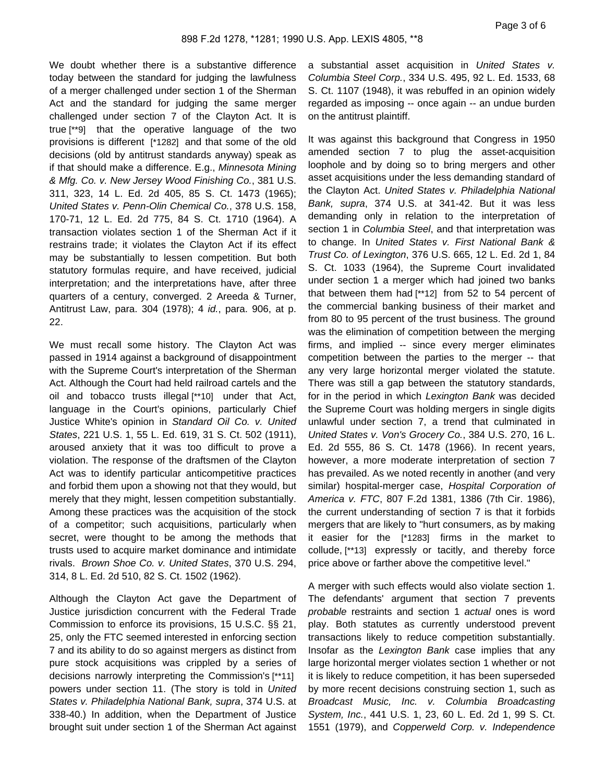We doubt whether there is a substantive difference today between the standard for judging the lawfulness of a merger challenged under section 1 of the Sherman Act and the standard for judging the same merger challenged under section 7 of the Clayton Act. It is true [\*\*9] that the operative language of the two provisions is different [\*1282] and that some of the old decisions (old by antitrust standards anyway) speak as if that should make a difference. E.g., Minnesota Mining & Mfg. Co. v. New Jersey Wood Finishing Co., 381 U.S. 311, 323, 14 L. Ed. 2d 405, 85 S. Ct. 1473 (1965); United States v. Penn-Olin Chemical Co., 378 U.S. 158, 170-71, 12 L. Ed. 2d 775, 84 S. Ct. 1710 (1964). A transaction violates section 1 of the Sherman Act if it restrains trade; it violates the Clayton Act if its effect may be substantially to lessen competition. But both statutory formulas require, and have received, judicial interpretation; and the interpretations have, after three quarters of a century, converged. 2 Areeda & Turner, Antitrust Law, para. 304 (1978); 4 id., para. 906, at p. 22.

We must recall some history. The Clayton Act was passed in 1914 against a background of disappointment with the Supreme Court's interpretation of the Sherman Act. Although the Court had held railroad cartels and the oil and tobacco trusts illegal [\*\*10] under that Act, language in the Court's opinions, particularly Chief Justice White's opinion in Standard Oil Co. v. United States, 221 U.S. 1, 55 L. Ed. 619, 31 S. Ct. 502 (1911), aroused anxiety that it was too difficult to prove a violation. The response of the draftsmen of the Clayton Act was to identify particular anticompetitive practices and forbid them upon a showing not that they would, but merely that they might, lessen competition substantially. Among these practices was the acquisition of the stock of a competitor; such acquisitions, particularly when secret, were thought to be among the methods that trusts used to acquire market dominance and intimidate rivals. Brown Shoe Co. v. United States, 370 U.S. 294, 314, 8 L. Ed. 2d 510, 82 S. Ct. 1502 (1962).

Although the Clayton Act gave the Department of Justice jurisdiction concurrent with the Federal Trade Commission to enforce its provisions, 15 U.S.C. §§ 21, 25, only the FTC seemed interested in enforcing section 7 and its ability to do so against mergers as distinct from pure stock acquisitions was crippled by a series of decisions narrowly interpreting the Commission's [\*\*11] powers under section 11. (The story is told in United States v. Philadelphia National Bank, supra, 374 U.S. at 338-40.) In addition, when the Department of Justice brought suit under section 1 of the Sherman Act against a substantial asset acquisition in United States v. Columbia Steel Corp., 334 U.S. 495, 92 L. Ed. 1533, 68 S. Ct. 1107 (1948), it was rebuffed in an opinion widely regarded as imposing -- once again -- an undue burden on the antitrust plaintiff.

It was against this background that Congress in 1950 amended section 7 to plug the asset-acquisition loophole and by doing so to bring mergers and other asset acquisitions under the less demanding standard of the Clayton Act. United States v. Philadelphia National Bank, supra, 374 U.S. at 341-42. But it was less demanding only in relation to the interpretation of section 1 in Columbia Steel, and that interpretation was to change. In United States v. First National Bank & Trust Co. of Lexington, 376 U.S. 665, 12 L. Ed. 2d 1, 84 S. Ct. 1033 (1964), the Supreme Court invalidated under section 1 a merger which had joined two banks that between them had [\*\*12] from 52 to 54 percent of the commercial banking business of their market and from 80 to 95 percent of the trust business. The ground was the elimination of competition between the merging firms, and implied -- since every merger eliminates competition between the parties to the merger -- that any very large horizontal merger violated the statute. There was still a gap between the statutory standards, for in the period in which Lexington Bank was decided the Supreme Court was holding mergers in single digits unlawful under section 7, a trend that culminated in United States v. Von's Grocery Co., 384 U.S. 270, 16 L. Ed. 2d 555, 86 S. Ct. 1478 (1966). In recent years, however, a more moderate interpretation of section 7 has prevailed. As we noted recently in another (and very similar) hospital-merger case, Hospital Corporation of America v. FTC, 807 F.2d 1381, 1386 (7th Cir. 1986), the current understanding of section 7 is that it forbids mergers that are likely to "hurt consumers, as by making it easier for the [\*1283] firms in the market to collude, [\*\*13] expressly or tacitly, and thereby force price above or farther above the competitive level."

A merger with such effects would also violate section 1. The defendants' argument that section 7 prevents probable restraints and section 1 actual ones is word play. Both statutes as currently understood prevent transactions likely to reduce competition substantially. Insofar as the Lexington Bank case implies that any large horizontal merger violates section 1 whether or not it is likely to reduce competition, it has been superseded by more recent decisions construing section 1, such as Broadcast Music, Inc. v. Columbia Broadcasting System, Inc., 441 U.S. 1, 23, 60 L. Ed. 2d 1, 99 S. Ct. 1551 (1979), and Copperweld Corp. v. Independence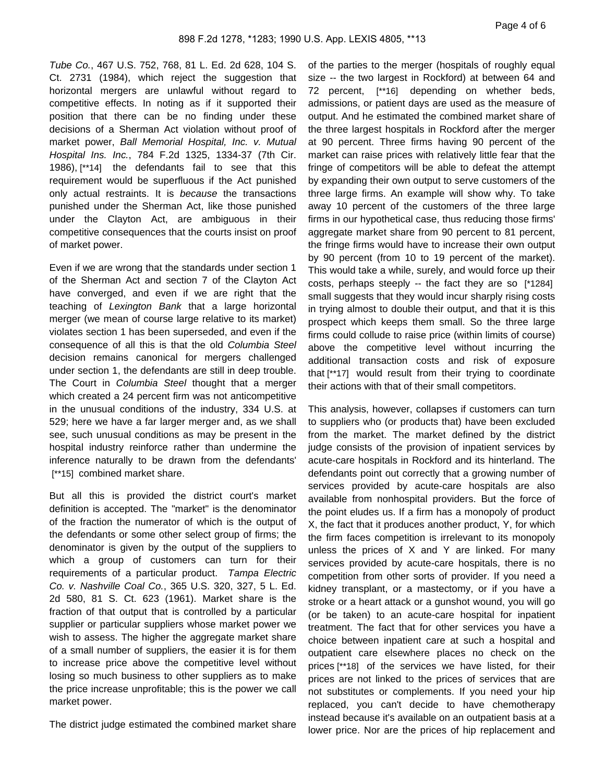Tube Co., 467 U.S. 752, 768, 81 L. Ed. 2d 628, 104 S. Ct. 2731 (1984), which reject the suggestion that horizontal mergers are unlawful without regard to competitive effects. In noting as if it supported their position that there can be no finding under these decisions of a Sherman Act violation without proof of market power, Ball Memorial Hospital, Inc. v. Mutual Hospital Ins. Inc., 784 F.2d 1325, 1334-37 (7th Cir. 1986), [\*\*14] the defendants fail to see that this requirement would be superfluous if the Act punished only actual restraints. It is because the transactions punished under the Sherman Act, like those punished under the Clayton Act, are ambiguous in their competitive consequences that the courts insist on proof of market power.

Even if we are wrong that the standards under section 1 of the Sherman Act and section 7 of the Clayton Act have converged, and even if we are right that the teaching of Lexington Bank that a large horizontal merger (we mean of course large relative to its market) violates section 1 has been superseded, and even if the consequence of all this is that the old Columbia Steel decision remains canonical for mergers challenged under section 1, the defendants are still in deep trouble. The Court in Columbia Steel thought that a merger which created a 24 percent firm was not anticompetitive in the unusual conditions of the industry, 334 U.S. at 529; here we have a far larger merger and, as we shall see, such unusual conditions as may be present in the hospital industry reinforce rather than undermine the inference naturally to be drawn from the defendants' [\*\*15] combined market share.

But all this is provided the district court's market definition is accepted. The "market" is the denominator of the fraction the numerator of which is the output of the defendants or some other select group of firms; the denominator is given by the output of the suppliers to which a group of customers can turn for their requirements of a particular product. Tampa Electric Co. v. Nashville Coal Co., 365 U.S. 320, 327, 5 L. Ed. 2d 580, 81 S. Ct. 623 (1961). Market share is the fraction of that output that is controlled by a particular supplier or particular suppliers whose market power we wish to assess. The higher the aggregate market share of a small number of suppliers, the easier it is for them to increase price above the competitive level without losing so much business to other suppliers as to make the price increase unprofitable; this is the power we call market power.

The district judge estimated the combined market share

of the parties to the merger (hospitals of roughly equal size -- the two largest in Rockford) at between 64 and 72 percent, [\*\*16] depending on whether beds, admissions, or patient days are used as the measure of output. And he estimated the combined market share of the three largest hospitals in Rockford after the merger at 90 percent. Three firms having 90 percent of the market can raise prices with relatively little fear that the fringe of competitors will be able to defeat the attempt by expanding their own output to serve customers of the three large firms. An example will show why. To take away 10 percent of the customers of the three large firms in our hypothetical case, thus reducing those firms' aggregate market share from 90 percent to 81 percent, the fringe firms would have to increase their own output by 90 percent (from 10 to 19 percent of the market). This would take a while, surely, and would force up their costs, perhaps steeply -- the fact they are so [\*1284] small suggests that they would incur sharply rising costs in trying almost to double their output, and that it is this prospect which keeps them small. So the three large firms could collude to raise price (within limits of course) above the competitive level without incurring the additional transaction costs and risk of exposure that [\*\*17] would result from their trying to coordinate their actions with that of their small competitors.

This analysis, however, collapses if customers can turn to suppliers who (or products that) have been excluded from the market. The market defined by the district judge consists of the provision of inpatient services by acute-care hospitals in Rockford and its hinterland. The defendants point out correctly that a growing number of services provided by acute-care hospitals are also available from nonhospital providers. But the force of the point eludes us. If a firm has a monopoly of product X, the fact that it produces another product, Y, for which the firm faces competition is irrelevant to its monopoly unless the prices of X and Y are linked. For many services provided by acute-care hospitals, there is no competition from other sorts of provider. If you need a kidney transplant, or a mastectomy, or if you have a stroke or a heart attack or a gunshot wound, you will go (or be taken) to an acute-care hospital for inpatient treatment. The fact that for other services you have a choice between inpatient care at such a hospital and outpatient care elsewhere places no check on the prices [\*\*18] of the services we have listed, for their prices are not linked to the prices of services that are not substitutes or complements. If you need your hip replaced, you can't decide to have chemotherapy instead because it's available on an outpatient basis at a lower price. Nor are the prices of hip replacement and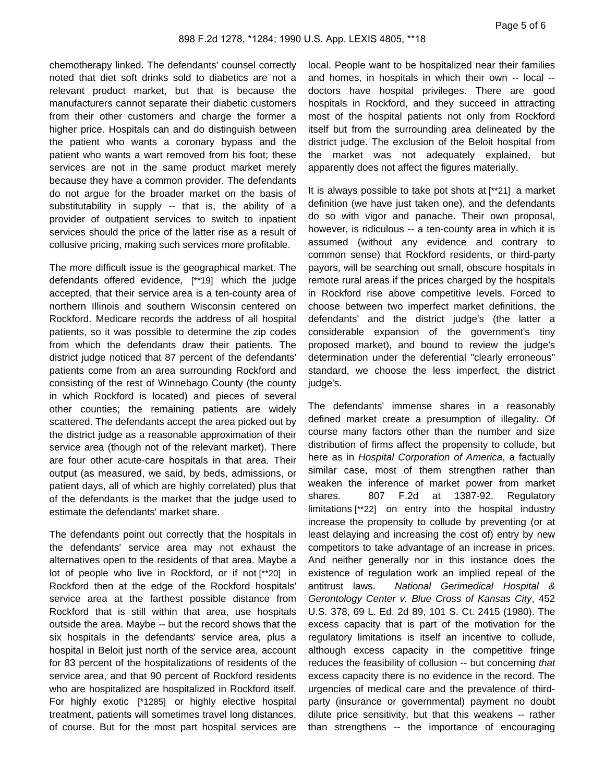chemotherapy linked. The defendants' counsel correctly noted that diet soft drinks sold to diabetics are not a relevant product market, but that is because the manufacturers cannot separate their diabetic customers from their other customers and charge the former a higher price. Hospitals can and do distinguish between the patient who wants a coronary bypass and the patient who wants a wart removed from his foot; these services are not in the same product market merely because they have a common provider. The defendants do not argue for the broader market on the basis of substitutability in supply -- that is, the ability of a provider of outpatient services to switch to inpatient services should the price of the latter rise as a result of collusive pricing, making such services more profitable.

The more difficult issue is the geographical market. The defendants offered evidence, [\*\*19] which the judge accepted, that their service area is a ten-county area of northern Illinois and southern Wisconsin centered on Rockford. Medicare records the address of all hospital patients, so it was possible to determine the zip codes from which the defendants draw their patients. The district judge noticed that 87 percent of the defendants' patients come from an area surrounding Rockford and consisting of the rest of Winnebago County (the county in which Rockford is located) and pieces of several other counties; the remaining patients are widely scattered. The defendants accept the area picked out by the district judge as a reasonable approximation of their service area (though not of the relevant market). There are four other acute-care hospitals in that area. Their output (as measured, we said, by beds, admissions, or patient days, all of which are highly correlated) plus that of the defendants is the market that the judge used to estimate the defendants' market share.

The defendants point out correctly that the hospitals in the defendants' service area may not exhaust the alternatives open to the residents of that area. Maybe a lot of people who live in Rockford, or if not [\*\*20] in Rockford then at the edge of the Rockford hospitals' service area at the farthest possible distance from Rockford that is still within that area, use hospitals outside the area. Maybe -- but the record shows that the six hospitals in the defendants' service area, plus a hospital in Beloit just north of the service area, account for 83 percent of the hospitalizations of residents of the service area, and that 90 percent of Rockford residents who are hospitalized are hospitalized in Rockford itself. For highly exotic [\*1285] or highly elective hospital treatment, patients will sometimes travel long distances, of course. But for the most part hospital services are

local. People want to be hospitalized near their families and homes, in hospitals in which their own -- local - doctors have hospital privileges. There are good hospitals in Rockford, and they succeed in attracting most of the hospital patients not only from Rockford itself but from the surrounding area delineated by the district judge. The exclusion of the Beloit hospital from the market was not adequately explained, but apparently does not affect the figures materially.

It is always possible to take pot shots at [\*\*21] a market definition (we have just taken one), and the defendants do so with vigor and panache. Their own proposal, however, is ridiculous -- a ten-county area in which it is assumed (without any evidence and contrary to common sense) that Rockford residents, or third-party payors, will be searching out small, obscure hospitals in remote rural areas if the prices charged by the hospitals in Rockford rise above competitive levels. Forced to choose between two imperfect market definitions, the defendants' and the district judge's (the latter a considerable expansion of the government's tiny proposed market), and bound to review the judge's determination under the deferential "clearly erroneous" standard, we choose the less imperfect, the district judge's.

The defendants' immense shares in a reasonably defined market create a presumption of illegality. Of course many factors other than the number and size distribution of firms affect the propensity to collude, but here as in Hospital Corporation of America, a factually similar case, most of them strengthen rather than weaken the inference of market power from market shares. 807 F.2d at 1387-92. Regulatory limitations [\*\*22] on entry into the hospital industry increase the propensity to collude by preventing (or at least delaying and increasing the cost of) entry by new competitors to take advantage of an increase in prices. And neither generally nor in this instance does the existence of regulation work an implied repeal of the antitrust laws. National Gerimedical Hospital & Gerontology Center v. Blue Cross of Kansas City, 452 U.S. 378, 69 L. Ed. 2d 89, 101 S. Ct. 2415 (1980). The excess capacity that is part of the motivation for the regulatory limitations is itself an incentive to collude, although excess capacity in the competitive fringe reduces the feasibility of collusion -- but concerning that excess capacity there is no evidence in the record. The urgencies of medical care and the prevalence of thirdparty (insurance or governmental) payment no doubt dilute price sensitivity, but that this weakens -- rather than strengthens -- the importance of encouraging